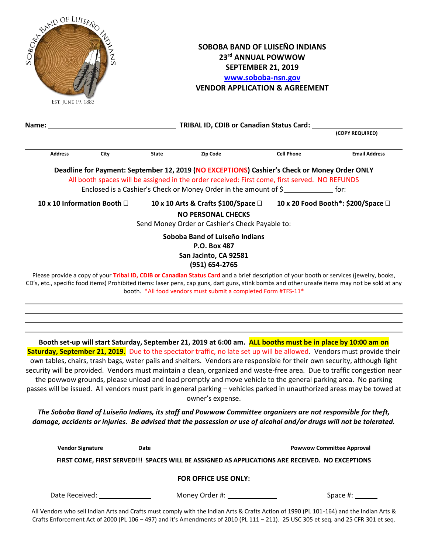| JF LUISENCE<br>Est. June 19, 1883                                                             |                |                             |                                                             | SOBOBA BAND OF LUISEÑO INDIANS<br>23rd ANNUAL POWWOW<br><b>SEPTEMBER 21, 2019</b><br>www.soboba-nsn.gov<br><b>VENDOR APPLICATION &amp; AGREEMENT</b>                                                                                                                                                                                                                                                                                                                                                                                                                                                                                                                                                                                                        |                   |                                    |  |
|-----------------------------------------------------------------------------------------------|----------------|-----------------------------|-------------------------------------------------------------|-------------------------------------------------------------------------------------------------------------------------------------------------------------------------------------------------------------------------------------------------------------------------------------------------------------------------------------------------------------------------------------------------------------------------------------------------------------------------------------------------------------------------------------------------------------------------------------------------------------------------------------------------------------------------------------------------------------------------------------------------------------|-------------------|------------------------------------|--|
| Name:                                                                                         |                |                             | TRIBAL ID, CDIB or Canadian Status Card:<br>(COPY REQUIRED) |                                                                                                                                                                                                                                                                                                                                                                                                                                                                                                                                                                                                                                                                                                                                                             |                   |                                    |  |
|                                                                                               |                |                             |                                                             |                                                                                                                                                                                                                                                                                                                                                                                                                                                                                                                                                                                                                                                                                                                                                             |                   |                                    |  |
|                                                                                               | <b>Address</b> | City                        | <b>State</b>                                                | <b>Zip Code</b>                                                                                                                                                                                                                                                                                                                                                                                                                                                                                                                                                                                                                                                                                                                                             | <b>Cell Phone</b> | <b>Email Address</b>               |  |
|                                                                                               |                |                             |                                                             | Deadline for Payment: September 12, 2019 (NO EXCEPTIONS) Cashier's Check or Money Order ONLY                                                                                                                                                                                                                                                                                                                                                                                                                                                                                                                                                                                                                                                                |                   |                                    |  |
| All booth spaces will be assigned in the order received: First come, first served. NO REFUNDS |                |                             |                                                             |                                                                                                                                                                                                                                                                                                                                                                                                                                                                                                                                                                                                                                                                                                                                                             |                   |                                    |  |
|                                                                                               |                |                             |                                                             | Enclosed is a Cashier's Check or Money Order in the amount of \$                                                                                                                                                                                                                                                                                                                                                                                                                                                                                                                                                                                                                                                                                            |                   |                                    |  |
|                                                                                               |                | 10 x 10 Information Booth □ |                                                             | 10 x 10 Arts & Crafts \$100/Space $\square$<br><b>NO PERSONAL CHECKS</b><br>Send Money Order or Cashier's Check Payable to:                                                                                                                                                                                                                                                                                                                                                                                                                                                                                                                                                                                                                                 |                   | 10 x 20 Food Booth*: \$200/Space □ |  |
|                                                                                               |                |                             |                                                             | Soboba Band of Luiseño Indians<br>P.O. Box 487                                                                                                                                                                                                                                                                                                                                                                                                                                                                                                                                                                                                                                                                                                              |                   |                                    |  |
| San Jacinto, CA 92581<br>(951) 654-2765                                                       |                |                             |                                                             |                                                                                                                                                                                                                                                                                                                                                                                                                                                                                                                                                                                                                                                                                                                                                             |                   |                                    |  |
|                                                                                               |                |                             |                                                             | Please provide a copy of your Tribal ID, CDIB or Canadian Status Card and a brief description of your booth or services (jewelry, books,<br>CD's, etc., specific food items) Prohibited items: laser pens, cap guns, dart guns, stink bombs and other unsafe items may not be sold at any<br>booth. *All food vendors must submit a completed Form #TFS-11*                                                                                                                                                                                                                                                                                                                                                                                                 |                   |                                    |  |
|                                                                                               |                |                             |                                                             |                                                                                                                                                                                                                                                                                                                                                                                                                                                                                                                                                                                                                                                                                                                                                             |                   |                                    |  |
|                                                                                               |                |                             |                                                             |                                                                                                                                                                                                                                                                                                                                                                                                                                                                                                                                                                                                                                                                                                                                                             |                   |                                    |  |
|                                                                                               |                |                             |                                                             | Booth set-up will start Saturday, September 21, 2019 at 6:00 am. ALL booths must be in place by 10:00 am on<br>Saturday, September 21, 2019. Due to the spectator traffic, no late set up will be allowed. Vendors must provide their<br>own tables, chairs, trash bags, water pails and shelters. Vendors are responsible for their own security, although light<br>security will be provided. Vendors must maintain a clean, organized and waste-free area. Due to traffic congestion near<br>the powwow grounds, please unload and load promptly and move vehicle to the general parking area. No parking<br>passes will be issued. All vendors must park in general parking - vehicles parked in unauthorized areas may be towed at<br>owner's expense. |                   |                                    |  |

*The Soboba Band of Luiseño Indians, its staff and Powwow Committee organizers are not responsible for theft, damage, accidents or injuries. Be advised that the possession or use of alcohol and/or drugs will not be tolerated.*

 **Vendor Signature Date Powwow Committee Approval**

**FIRST COME, FIRST SERVED!!! SPACES WILL BE ASSIGNED AS APPLICATIONS ARE RECEIVED. NO EXCEPTIONS**

## **FOR OFFICE USE ONLY:**

Date Received: Money Order #: Space #:

All Vendors who sell Indian Arts and Crafts must comply with the Indian Arts & Crafts Action of 1990 (PL 101-164) and the Indian Arts & Crafts Enforcement Act of 2000 (PL 106 – 497) and it's Amendments of 2010 (PL 111 – 211). 25 USC 305 et seq. and 25 CFR 301 et seq.